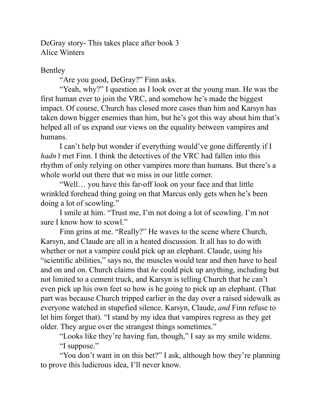DeGray story- This takes place after book 3 Alice Winters

Bentley

"Are you good, DeGray?" Finn asks.

"Yeah, why?" I question as I look over at the young man. He was the first human ever to join the VRC, and somehow he's made the biggest impact. Of course, Church has closed more cases than him and Karsyn has taken down bigger enemies than him, but he's got this way about him that's helped all of us expand our views on the equality between vampires and humans.

I can't help but wonder if everything would've gone differently if I *hadn't* met Finn. I think the detectives of the VRC had fallen into this rhythm of only relying on other vampires more than humans. But there's a whole world out there that we miss in our little corner.

"Well… you have this far-off look on your face and that little wrinkled forehead thing going on that Marcus only gets when he's been doing a lot of scowling."

I smile at him. "Trust me, I'm not doing a lot of scowling. I'm not sure I know how to scowl."

Finn grins at me. "Really?" He waves to the scene where Church, Karsyn, and Claude are all in a heated discussion. It all has to do with whether or not a vampire could pick up an elephant. Claude, using his "scientific abilities," says no, the muscles would tear and then have to heal and on and on. Church claims that *he* could pick up anything, including but not limited to a cement truck, and Karsyn is telling Church that he can't even pick up his own feet so how is he going to pick up an elephant. (That part was because Church tripped earlier in the day over a raised sidewalk as everyone watched in stupefied silence. Karsyn, Claude, *and* Finn refuse to let him forget that). "I stand by my idea that vampires regress as they get older. They argue over the strangest things sometimes."

"Looks like they're having fun, though," I say as my smile widens. "I suppose."

"You don't want in on this bet?" I ask, although how they're planning to prove this ludicrous idea, I'll never know.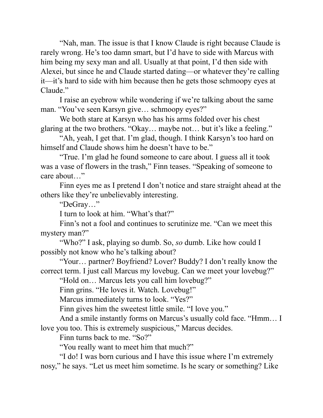"Nah, man. The issue is that I know Claude is right because Claude is rarely wrong. He's too damn smart, but I'd have to side with Marcus with him being my sexy man and all. Usually at that point, I'd then side with Alexei, but since he and Claude started dating—or whatever they're calling it—it's hard to side with him because then he gets those schmoopy eyes at Claude."

I raise an eyebrow while wondering if we're talking about the same man. "You've seen Karsyn give… schmoopy eyes?"

We both stare at Karsyn who has his arms folded over his chest glaring at the two brothers. "Okay… maybe not… but it's like a feeling."

"Ah, yeah, I get that. I'm glad, though. I think Karsyn's too hard on himself and Claude shows him he doesn't have to be."

"True. I'm glad he found someone to care about. I guess all it took was a vase of flowers in the trash," Finn teases. "Speaking of someone to care about…"

Finn eyes me as I pretend I don't notice and stare straight ahead at the others like they're unbelievably interesting.

"DeGray…"

I turn to look at him. "What's that?"

Finn's not a fool and continues to scrutinize me. "Can we meet this mystery man?"

"Who?" I ask, playing so dumb. So, *so* dumb. Like how could I possibly not know who he's talking about?

"Your… partner? Boyfriend? Lover? Buddy? I don't really know the correct term. I just call Marcus my lovebug. Can we meet your lovebug?"

"Hold on… Marcus lets you call him lovebug?"

Finn grins. "He loves it. Watch. Lovebug!"

Marcus immediately turns to look. "Yes?"

Finn gives him the sweetest little smile. "I love you."

And a smile instantly forms on Marcus's usually cold face. "Hmm… I love you too. This is extremely suspicious," Marcus decides.

Finn turns back to me. "So?"

"You really want to meet him that much?"

"I do! I was born curious and I have this issue where I'm extremely nosy," he says. "Let us meet him sometime. Is he scary or something? Like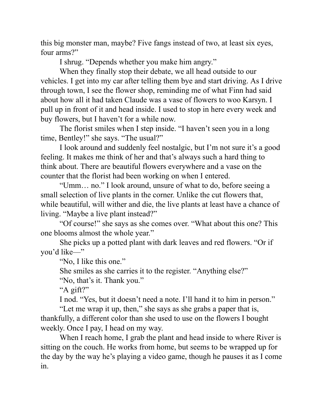this big monster man, maybe? Five fangs instead of two, at least six eyes, four arms?"

I shrug. "Depends whether you make him angry."

When they finally stop their debate, we all head outside to our vehicles. I get into my car after telling them bye and start driving. As I drive through town, I see the flower shop, reminding me of what Finn had said about how all it had taken Claude was a vase of flowers to woo Karsyn. I pull up in front of it and head inside. I used to stop in here every week and buy flowers, but I haven't for a while now.

The florist smiles when I step inside. "I haven't seen you in a long time, Bentley!" she says. "The usual?"

I look around and suddenly feel nostalgic, but I'm not sure it's a good feeling. It makes me think of her and that's always such a hard thing to think about. There are beautiful flowers everywhere and a vase on the counter that the florist had been working on when I entered.

"Umm… no." I look around, unsure of what to do, before seeing a small selection of live plants in the corner. Unlike the cut flowers that, while beautiful, will wither and die, the live plants at least have a chance of living. "Maybe a live plant instead?"

"Of course!" she says as she comes over. "What about this one? This one blooms almost the whole year."

She picks up a potted plant with dark leaves and red flowers. "Or if you'd like—"

"No, I like this one."

She smiles as she carries it to the register. "Anything else?"

"No, that's it. Thank you."

"A gift?"

I nod. "Yes, but it doesn't need a note. I'll hand it to him in person."

"Let me wrap it up, then," she says as she grabs a paper that is, thankfully, a different color than she used to use on the flowers I bought weekly. Once I pay, I head on my way.

When I reach home, I grab the plant and head inside to where River is sitting on the couch. He works from home, but seems to be wrapped up for the day by the way he's playing a video game, though he pauses it as I come in.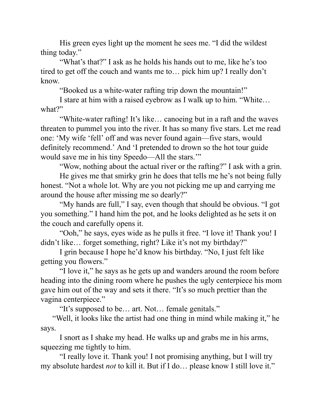His green eyes light up the moment he sees me. "I did the wildest thing today."

"What's that?" I ask as he holds his hands out to me, like he's too tired to get off the couch and wants me to… pick him up? I really don't know.

"Booked us a white-water rafting trip down the mountain!"

I stare at him with a raised eyebrow as I walk up to him. "White… what?"

"White-water rafting! It's like… canoeing but in a raft and the waves threaten to pummel you into the river. It has so many five stars. Let me read one: 'My wife 'fell' off and was never found again—five stars, would definitely recommend.' And 'I pretended to drown so the hot tour guide would save me in his tiny Speedo—All the stars.'"

"Wow, nothing about the actual river or the rafting?" I ask with a grin.

He gives me that smirky grin he does that tells me he's not being fully honest. "Not a whole lot. Why are you not picking me up and carrying me around the house after missing me so dearly?"

"My hands are full," I say, even though that should be obvious. "I got you something." I hand him the pot, and he looks delighted as he sets it on the couch and carefully opens it.

"Ooh," he says, eyes wide as he pulls it free. "I love it! Thank you! I didn't like… forget something, right? Like it's not my birthday?"

I grin because I hope he'd know his birthday. "No, I just felt like getting you flowers."

"I love it," he says as he gets up and wanders around the room before heading into the dining room where he pushes the ugly centerpiece his mom gave him out of the way and sets it there. "It's so much prettier than the vagina centerpiece."

"It's supposed to be… art. Not… female genitals."

 "Well, it looks like the artist had one thing in mind while making it," he says.

I snort as I shake my head. He walks up and grabs me in his arms, squeezing me tightly to him.

"I really love it. Thank you! I not promising anything, but I will try my absolute hardest *not* to kill it. But if I do… please know I still love it."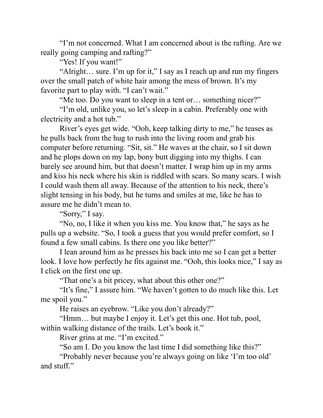"I'm not concerned. What I am concerned about is the rafting. Are we really going camping and rafting?"

"Yes! If you want!"

"Alright… sure. I'm up for it," I say as I reach up and run my fingers over the small patch of white hair among the mess of brown. It's my favorite part to play with. "I can't wait."

"Me too. Do you want to sleep in a tent or... something nicer?"

"I'm old, unlike you, so let's sleep in a cabin. Preferably one with electricity and a hot tub."

River's eyes get wide. "Ooh, keep talking dirty to me," he teases as he pulls back from the hug to rush into the living room and grab his computer before returning. "Sit, sit." He waves at the chair, so I sit down and he plops down on my lap, bony butt digging into my thighs. I can barely see around him, but that doesn't matter. I wrap him up in my arms and kiss his neck where his skin is riddled with scars. So many scars. I wish I could wash them all away. Because of the attention to his neck, there's slight tensing in his body, but he turns and smiles at me, like he has to assure me he didn't mean to.

"Sorry," I say.

"No, no, I like it when you kiss me. You know that," he says as he pulls up a website. "So, I took a guess that you would prefer comfort, so I found a few small cabins. Is there one you like better?"

I lean around him as he presses his back into me so I can get a better look. I love how perfectly he fits against me. "Ooh, this looks nice," I say as I click on the first one up.

"That one's a bit pricey, what about this other one?"

"It's fine," I assure him. "We haven't gotten to do much like this. Let me spoil you."

He raises an eyebrow. "Like you don't already?"

"Hmm… but maybe I enjoy it. Let's get this one. Hot tub, pool, within walking distance of the trails. Let's book it."

River grins at me. "I'm excited."

"So am I. Do you know the last time I did something like this?"

"Probably never because you're always going on like 'I'm too old' and stuff."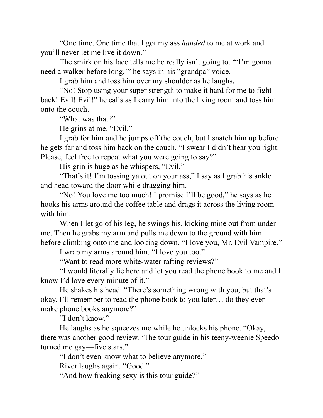"One time. One time that I got my ass *handed* to me at work and you'll never let me live it down."

The smirk on his face tells me he really isn't going to. "'I'm gonna need a walker before long,'" he says in his "grandpa" voice.

I grab him and toss him over my shoulder as he laughs.

"No! Stop using your super strength to make it hard for me to fight back! Evil! Evil!" he calls as I carry him into the living room and toss him onto the couch.

"What was that?"

He grins at me. "Evil."

I grab for him and he jumps off the couch, but I snatch him up before he gets far and toss him back on the couch. "I swear I didn't hear you right. Please, feel free to repeat what you were going to say?"

His grin is huge as he whispers, "Evil."

"That's it! I'm tossing ya out on your ass," I say as I grab his ankle and head toward the door while dragging him.

"No! You love me too much! I promise I'll be good," he says as he hooks his arms around the coffee table and drags it across the living room with him.

When I let go of his leg, he swings his, kicking mine out from under me. Then he grabs my arm and pulls me down to the ground with him before climbing onto me and looking down. "I love you, Mr. Evil Vampire."

I wrap my arms around him. "I love you too."

"Want to read more white-water rafting reviews?"

"I would literally lie here and let you read the phone book to me and I know I'd love every minute of it."

He shakes his head. "There's something wrong with you, but that's okay. I'll remember to read the phone book to you later… do they even make phone books anymore?"

"I don't know."

He laughs as he squeezes me while he unlocks his phone. "Okay, there was another good review. 'The tour guide in his teeny-weenie Speedo turned me gay—five stars."

"I don't even know what to believe anymore."

River laughs again. "Good."

"And how freaking sexy is this tour guide?"